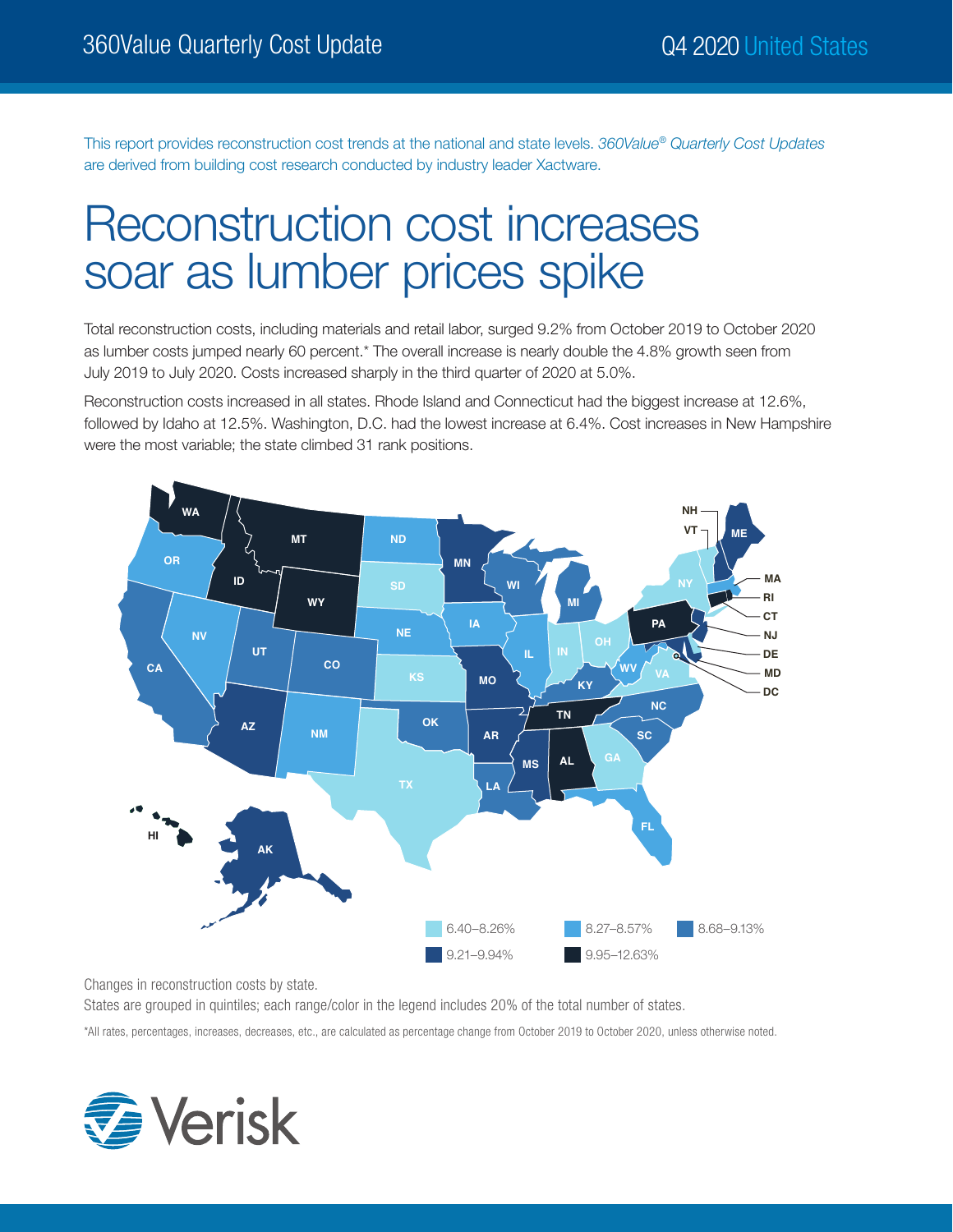This report provides reconstruction cost trends at the national and state levels. *360Value® Quarterly Cost Updates* are derived from building cost research conducted by industry leader Xactware.

# Reconstruction cost increases soar as lumber prices spike

Total reconstruction costs, including materials and retail labor, surged 9.2% from October 2019 to October 2020 as lumber costs jumped nearly 60 percent.\* The overall increase is nearly double the 4.8% growth seen from July 2019 to July 2020. Costs increased sharply in the third quarter of 2020 at 5.0%.

Reconstruction costs increased in all states. Rhode Island and Connecticut had the biggest increase at 12.6%, followed by Idaho at 12.5%. Washington, D.C. had the lowest increase at 6.4%. Cost increases in New Hampshire were the most variable; the state climbed 31 rank positions.



Changes in reconstruction costs by state.

States are grouped in quintiles; each range/color in the legend includes 20% of the total number of states.

\*All rates, percentages, increases, decreases, etc., are calculated as percentage change from October 2019 to October 2020, unless otherwise noted.

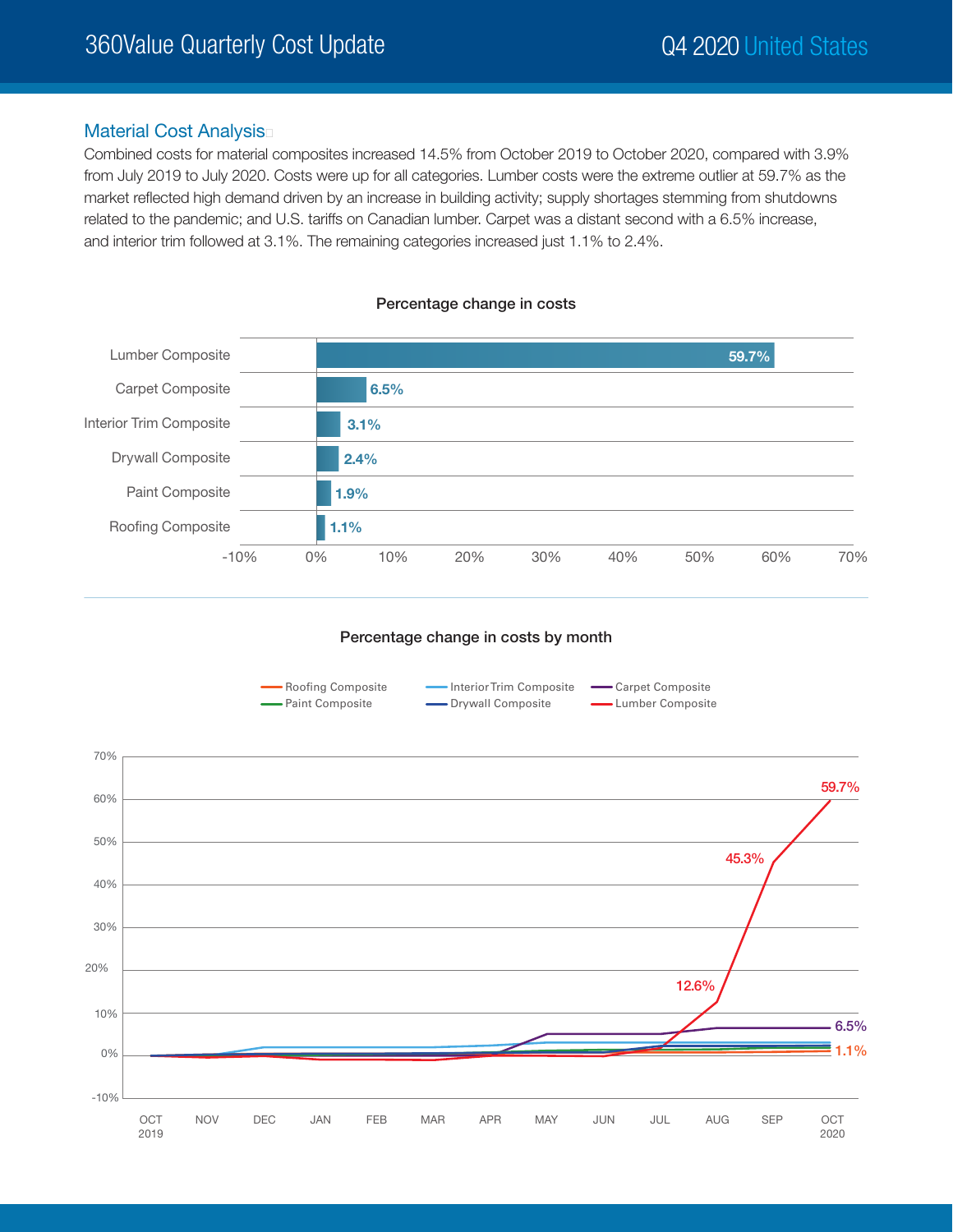### Material Cost Analysis

Combined costs for material composites increased 14.5% from October 2019 to October 2020, compared with 3.9% from July 2019 to July 2020. Costs were up for all categories. Lumber costs were the extreme outlier at 59.7% as the market reflected high demand driven by an increase in building activity; supply shortages stemming from shutdowns related to the pandemic; and U.S. tariffs on Canadian lumber. Carpet was a distant second with a 6.5% increase, and interior trim followed at 3.1%. The remaining categories increased just 1.1% to 2.4%.



#### Percentage change in costs



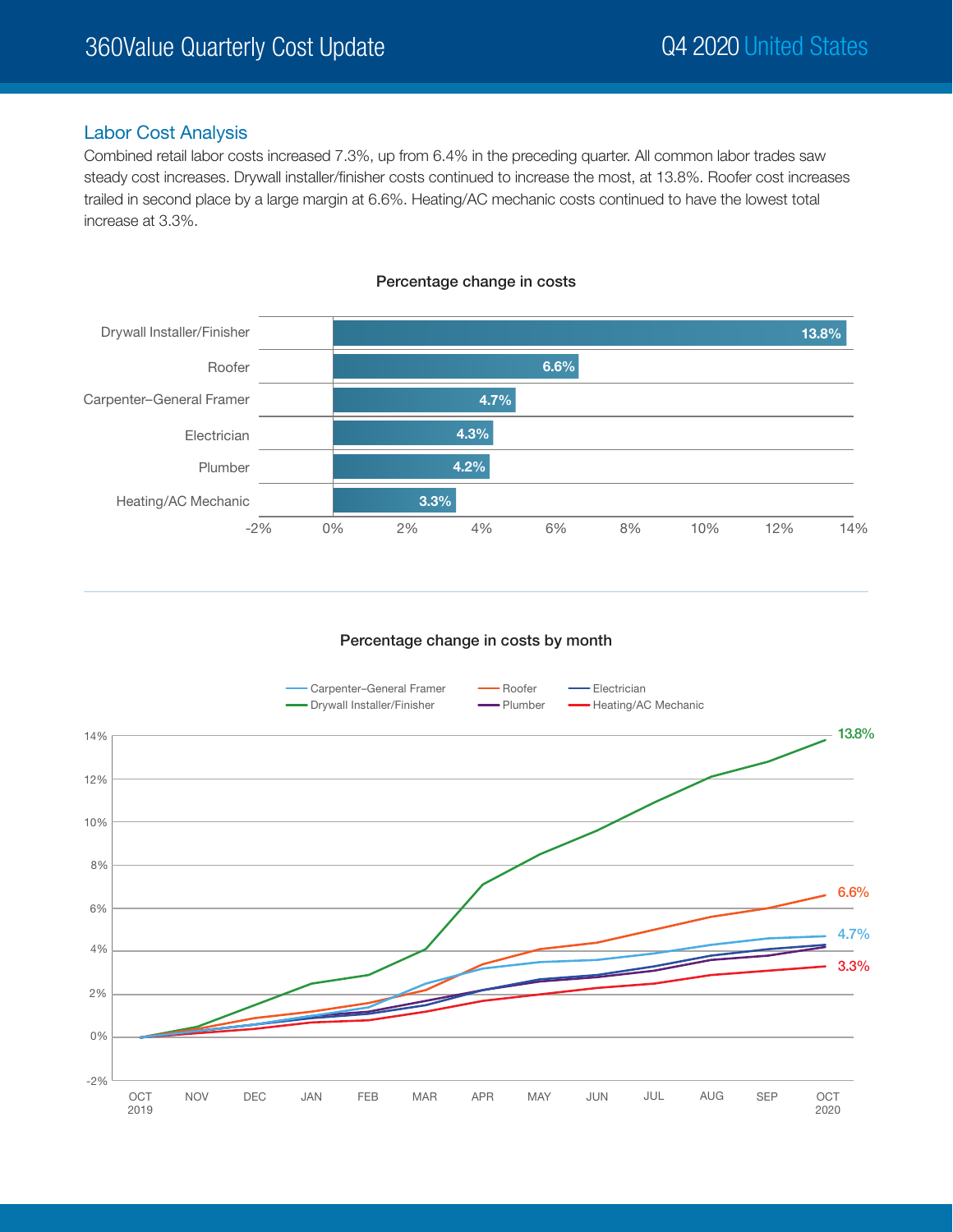## Labor Cost Analysis

Combined retail labor costs increased 7.3%, up from 6.4% in the preceding quarter. All common labor trades saw steady cost increases. Drywall installer/finisher costs continued to increase the most, at 13.8%. Roofer cost increases trailed in second place by a large margin at 6.6%. Heating/AC mechanic costs continued to have the lowest total increase at 3.3%.



Percentage change in costs

#### Percentage change in costs by month